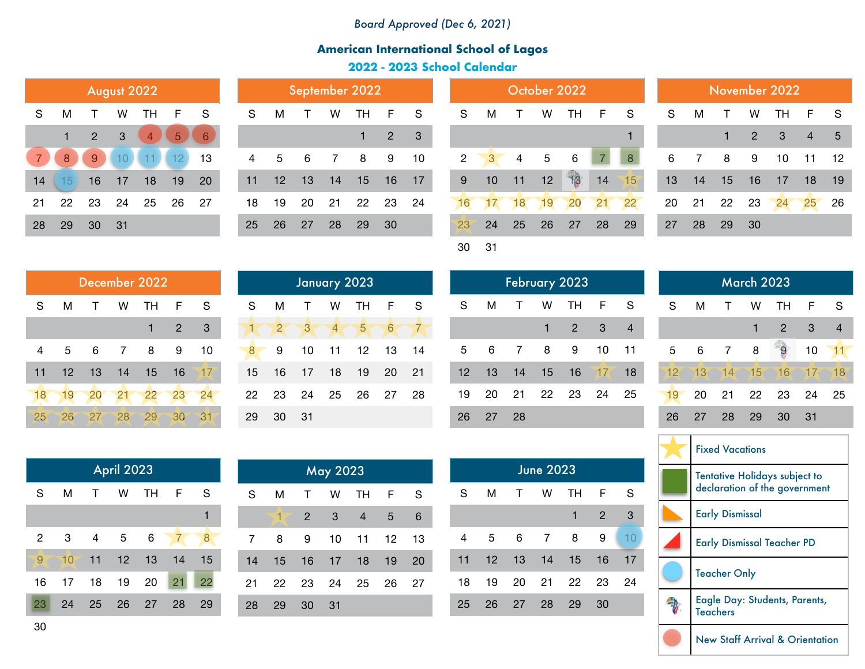## *Board Approved (Dec 6, 2021)*

## **American International School of Lagos**

## **2022 - 2023 School Calendar**

| August 2022 |    |    |    |                |    |    |  |
|-------------|----|----|----|----------------|----|----|--|
| S           | М  | т  | w  | TН             | F  | S  |  |
|             | 1  | 2  | 3  | $\overline{4}$ | 5  | 6  |  |
| 7           | 8  | 9  | 10 | 11             | 12 | 13 |  |
| 14          | 15 | 16 | 17 | 18             | 19 | 20 |  |
| 21          | 22 | 23 | 24 | 25             | 26 | 27 |  |
| 28          | 29 | 30 | 31 |                |    |    |  |

|    |     |           |                | Septemb <u>er 2022</u> |                |    |
|----|-----|-----------|----------------|------------------------|----------------|----|
| S  | М   | T         | W              | TH                     | - F            | S  |
|    |     |           |                | 1                      | $\overline{2}$ | 3  |
| 4  | - 5 | - 6       | $\overline{7}$ | 8                      | 9              | 10 |
| 11 | 12  | 13        | 14             | 15                     | 16             | 17 |
| 18 | 19  | 20        |                | 21 22                  | 23             | 24 |
| 25 | 26  | <b>27</b> | -28            | 29                     | 30             |    |
|    |     |           |                |                        |                |    |

|                |    | ້  | <b>CIUDUL LULL</b> |    |                |    |
|----------------|----|----|--------------------|----|----------------|----|
| S              | M  | T. | W                  | TH | F              | S  |
|                |    |    |                    |    |                | 1  |
| $\overline{c}$ | 3  | 4  | 5                  | 6  | $\overline{7}$ | 8  |
| 9              | 10 | 11 | 12                 | 13 | 14             | 15 |
| 16             | 17 | 18 | 19                 | 20 | 21             | 22 |
| 23             | 24 | 25 | 26                 | 27 | -28            | 29 |
| 30             | 31 |    |                    |    |                |    |

October 2022

| November 2022 |                |       |                |                    |                |    |  |  |
|---------------|----------------|-------|----------------|--------------------|----------------|----|--|--|
| S             | м              | т     | W              | TН                 | F              | S  |  |  |
|               |                | 1     | $\overline{2}$ | 3                  | $\overline{4}$ | 5  |  |  |
| 6             | $\overline{7}$ | 8     | 9              | 10                 | $-11$          | 12 |  |  |
| 13            | $-14$          | 15    | - 16 -         | 17 18              |                | 19 |  |  |
| 20            | 21             | 22 23 |                | $24 \overline{25}$ |                | 26 |  |  |
| 27            | 28             | -29   | 30             |                    |                |    |  |  |

| December 2022 |                   |    |                |       |                |    |  |  |  |
|---------------|-------------------|----|----------------|-------|----------------|----|--|--|--|
| S             | М                 | т  | W              | TН    | F              | S  |  |  |  |
|               |                   |    |                | 1     | $\overline{2}$ | 3  |  |  |  |
| 4             | 5                 | 6  | $\overline{7}$ | 8     | 9              | 10 |  |  |  |
| 11            | $12 \overline{ }$ | 13 | 14             | 15    | 16             | 17 |  |  |  |
| 18            | 19                | 20 | 21             | $-22$ | 23             | 24 |  |  |  |
| 25            | 26                | 27 | 28             | 29    | 30             | 31 |  |  |  |

| January 2023 |               |       |                |                            |    |    |  |  |  |
|--------------|---------------|-------|----------------|----------------------------|----|----|--|--|--|
| S            | м             | T     | w              | TН                         | F  | S  |  |  |  |
|              | $\mathcal{P}$ | 3     | $\overline{4}$ | $\overline{\phantom{0}}$ 5 | 6  |    |  |  |  |
| 8            | 9             | 10    | 11             | 12                         | 13 | 14 |  |  |  |
| 15           | 16            | 17    | 18             | 19                         | 20 | 21 |  |  |  |
| 22           | 23            | 24 25 |                | 26                         | 27 | 28 |  |  |  |
| 29           | 30            | 31    |                |                            |    |    |  |  |  |

|    | February 2023 |                |    |                |     |                |  |  |  |
|----|---------------|----------------|----|----------------|-----|----------------|--|--|--|
| S  | М             | $\mathsf{T}$   | W  | TН             | F   | S              |  |  |  |
|    |               |                | 1  | $\overline{2}$ | 3   | $\overline{4}$ |  |  |  |
| 5  | 6             | $\overline{7}$ | 8  | 9              | 10  | 11             |  |  |  |
| 12 | 13            | 14             | 15 | 16             | 17  | 18             |  |  |  |
| 19 | 20            | 21             | 22 | -23            | -24 | 25             |  |  |  |
| 26 | 27            | 28             |    |                |     |                |  |  |  |

| <b>March 2023</b> |    |              |     |               |    |    |  |  |
|-------------------|----|--------------|-----|---------------|----|----|--|--|
| S                 | м  | т            | w   | TН            | F  | S  |  |  |
|                   |    |              | 1   | $\mathcal{P}$ | 3  | 4  |  |  |
| 5                 | 6  | 7            | 8   |               | 10 | 11 |  |  |
| 12                | 13 | $\mathbf{H}$ | า15 | า6            | 17 | 18 |  |  |
| 19                | 20 | 21           | 22  | 23            | 24 | 25 |  |  |
| 26                | 27 | 28           | 29  | 30            | 31 |    |  |  |

Tentative Holidays subject to declaration of the government

Early Dismissal Teacher PD

Eagle Day: Students, Parents,

Fixed Vacations

Early Dismissal

Teacher Only

| <b>April 2023</b> |                   |    |    |    |     |    |  |
|-------------------|-------------------|----|----|----|-----|----|--|
| S                 | М                 | Т  | w  | TH | - F | S  |  |
|                   |                   |    |    |    |     | 1  |  |
| 2                 | 3                 | 4  | 5  | 6  | 7   | 8  |  |
| 9                 | $\blacksquare$ 10 | 11 | 12 | 13 | 14  | 15 |  |
| 16                | 17                | 18 | 19 | 20 | 21  | 22 |  |
| 23                | 24                | 25 | 26 | 27 | 28  | 29 |  |

|    |    |               | <b>May 2023</b> |                |                |    |
|----|----|---------------|-----------------|----------------|----------------|----|
| S  | м  | т             | w               | TH             | E              | S  |
|    |    | $\mathcal{P}$ | 3               | $\overline{4}$ | $\overline{5}$ | 6  |
| 7  | 8  | 9             | 10              | 11             | 12             | 13 |
| 14 | 15 | 16            | 17              | 18             | 19             | 20 |
| 21 | 22 | 23            | 24              | 25             | -26            | 27 |
| 28 | 29 | 30            | 31              |                |                |    |

|    | <b>June 2023</b> |     |                |           |                |    |  |  |  |
|----|------------------|-----|----------------|-----------|----------------|----|--|--|--|
| S  | м                | T   | W              | <b>TH</b> | F              | S  |  |  |  |
|    |                  |     |                | 1         | $\overline{2}$ | 3  |  |  |  |
| 4  | 5                | 6   | $\overline{7}$ | 8         | 9              | 10 |  |  |  |
| 11 | 12               | 13  | 14             | 15        | 16             | 17 |  |  |  |
| 18 | 19               | -20 | 21 22          |           | 23             | 24 |  |  |  |
| 25 | 26               | 27  | -28            | 29        | 30             |    |  |  |  |

**REAL** 

**Teachers**